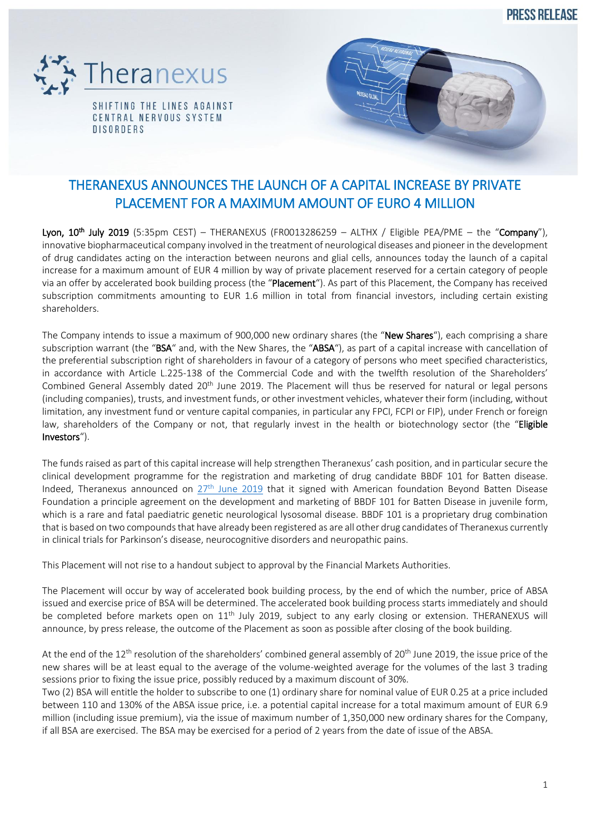PRESS REI FASE



CENTRAL NERVOUS SYSTEM **DISORDERS** 



## THERANEXUS ANNOUNCES THE LAUNCH OF A CAPITAL INCREASE BY PRIVATE PLACEMENT FOR A MAXIMUM AMOUNT OF EURO 4 MILLION

Lyon, 10<sup>th</sup> July 2019 (5:35pm CEST) – THERANEXUS (FR0013286259 – ALTHX / Eligible PEA/PME – the "Company"), innovative biopharmaceutical company involved in the treatment of neurological diseases and pioneer in the development of drug candidates acting on the interaction between neurons and glial cells, announces today the launch of a capital increase for a maximum amount of EUR 4 million by way of private placement reserved for a certain category of people via an offer by accelerated book building process (the "Placement"). As part of this Placement, the Company has received subscription commitments amounting to EUR 1.6 million in total from financial investors, including certain existing shareholders.

The Company intends to issue a maximum of 900,000 new ordinary shares (the "New Shares"), each comprising a share subscription warrant (the "BSA" and, with the New Shares, the "ABSA"), as part of a capital increase with cancellation of the preferential subscription right of shareholders in favour of a category of persons who meet specified characteristics, in accordance with Article L.225-138 of the Commercial Code and with the twelfth resolution of the Shareholders' Combined General Assembly dated  $20<sup>th</sup>$  June 2019. The Placement will thus be reserved for natural or legal persons (including companies), trusts, and investment funds, or other investment vehicles, whatever their form (including, without limitation, any investment fund or venture capital companies, in particular any FPCI, FCPI or FIP), under French or foreign law, shareholders of the Company or not, that regularly invest in the health or biotechnology sector (the "Eligible Investors").

The funds raised as part of this capital increase will help strengthen Theranexus' cash position, and in particular secure the clinical development programme for the registration and marketing of drug candidate BBDF 101 for Batten disease. Indeed, Theranexus announced on 27<sup>th</sup> June [2019](https://www.theranexus.com/images/pdf/Theranexus_CP_Accord_de_principe_BBDF_VF.pdf) that it signed with American foundation Beyond Batten Disease Foundation a principle agreement on the development and marketing of BBDF 101 for Batten Disease in juvenile form, which is a rare and fatal paediatric genetic neurological lysosomal disease. BBDF 101 is a proprietary drug combination that is based on two compounds that have already been registered as are all other drug candidates of Theranexus currently in clinical trials for Parkinson's disease, neurocognitive disorders and neuropathic pains.

This Placement will not rise to a handout subject to approval by the Financial Markets Authorities.

The Placement will occur by way of accelerated book building process, by the end of which the number, price of ABSA issued and exercise price of BSA will be determined. The accelerated book building process starts immediately and should be completed before markets open on 11<sup>th</sup> July 2019, subject to any early closing or extension. THERANEXUS will announce, by press release, the outcome of the Placement as soon as possible after closing of the book building.

At the end of the  $12^{th}$  resolution of the shareholders' combined general assembly of  $20^{th}$  June 2019, the issue price of the new shares will be at least equal to the average of the volume-weighted average for the volumes of the last 3 trading sessions prior to fixing the issue price, possibly reduced by a maximum discount of 30%.

Two (2) BSA will entitle the holder to subscribe to one (1) ordinary share for nominal value of EUR 0.25 at a price included between 110 and 130% of the ABSA issue price, i.e. a potential capital increase for a total maximum amount of EUR 6.9 million (including issue premium), via the issue of maximum number of 1,350,000 new ordinary shares for the Company, if all BSA are exercised. The BSA may be exercised for a period of 2 years from the date of issue of the ABSA.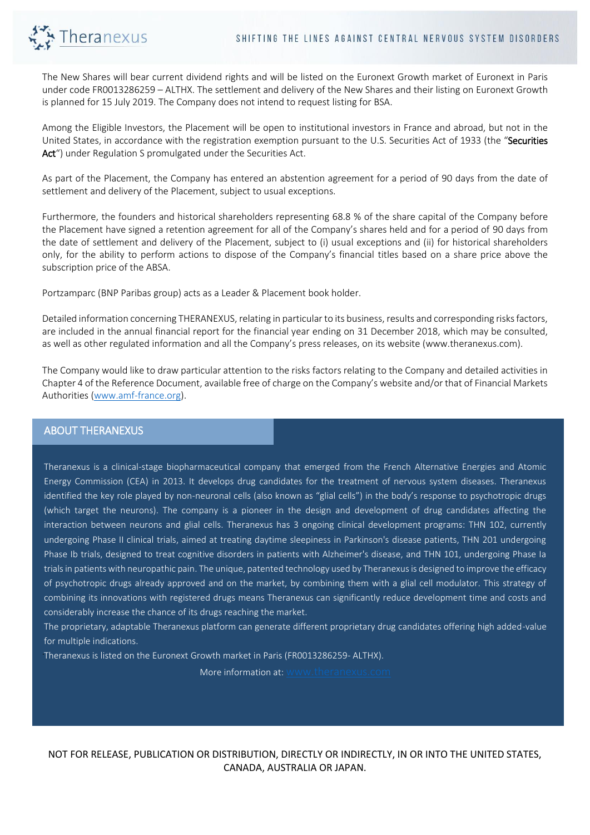

The New Shares will bear current dividend rights and will be listed on the Euronext Growth market of Euronext in Paris under code FR0013286259 – ALTHX. The settlement and delivery of the New Shares and their listing on Euronext Growth is planned for 15 July 2019. The Company does not intend to request listing for BSA.

Among the Eligible Investors, the Placement will be open to institutional investors in France and abroad, but not in the United States, in accordance with the registration exemption pursuant to the U.S. Securities Act of 1933 (the "Securities Act") under Regulation S promulgated under the Securities Act.

As part of the Placement, the Company has entered an abstention agreement for a period of 90 days from the date of settlement and delivery of the Placement, subject to usual exceptions.

Furthermore, the founders and historical shareholders representing 68.8 % of the share capital of the Company before the Placement have signed a retention agreement for all of the Company's shares held and for a period of 90 days from the date of settlement and delivery of the Placement, subject to (i) usual exceptions and (ii) for historical shareholders only, for the ability to perform actions to dispose of the Company's financial titles based on a share price above the subscription price of the ABSA.

Portzamparc (BNP Paribas group) acts as a Leader & Placement book holder.

Detailed information concerning THERANEXUS, relating in particular to its business, results and corresponding risks factors, are included in the annual financial report for the financial year ending on 31 December 2018, which may be consulted, as well as other regulated information and all the Company's press releases, on its website (www.theranexus.com).

The Company would like to draw particular attention to the risks factors relating to the Company and detailed activities in Chapter 4 of the Reference Document, available free of charge on the Company's website and/or that of Financial Markets Authorities [\(www.amf-france.org\)](http://www.amf-france.org/).

## ABOUT THERANEXUS

Theranexus is a clinical-stage biopharmaceutical company that emerged from the French Alternative Energies and Atomic Energy Commission (CEA) in 2013. It develops drug candidates for the treatment of nervous system diseases. Theranexus identified the key role played by non-neuronal cells (also known as "glial cells") in the body's response to psychotropic drugs (which target the neurons). The company is a pioneer in the design and development of drug candidates affecting the interaction between neurons and glial cells. Theranexus has 3 ongoing clinical development programs: THN 102, currently undergoing Phase II clinical trials, aimed at treating daytime sleepiness in Parkinson's disease patients, THN 201 undergoing Phase Ib trials, designed to treat cognitive disorders in patients with Alzheimer's disease, and THN 101, undergoing Phase Ia trials in patients with neuropathic pain. The unique, patented technology used by Theranexus is designed to improve the efficacy of psychotropic drugs already approved and on the market, by combining them with a glial cell modulator. This strategy of combining its innovations with registered drugs means Theranexus can significantly reduce development time and costs and considerably increase the chance of its drugs reaching the market.

The proprietary, adaptable Theranexus platform can generate different proprietary drug candidates offering high added-value for multiple indications.

Theranexus is listed on the Euronext Growth market in Paris (FR0013286259- ALTHX). .

More information at:  $\sqrt{ }$ 

NOT FOR RELEASE, PUBLICATION OR DISTRIBUTION, DIRECTLY OR INDIRECTLY, IN OR INTO THE UNITED STATES, CANADA, AUSTRALIA OR JAPAN.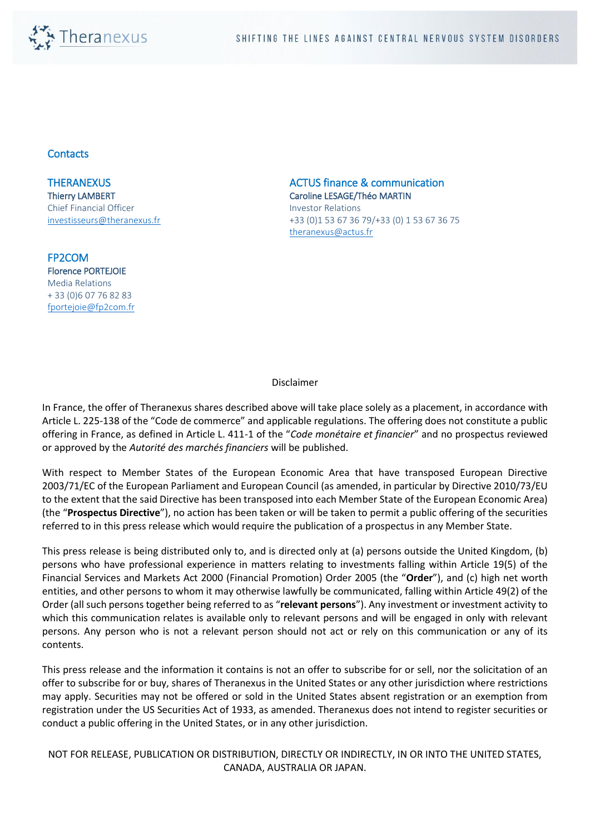

## **Contacts**

**THERANEXUS** Thierry LAMBERT Chief Financial Officer [investisseurs@theranexus.fr](mailto:investisseurs@theranexus.fr) 

FP2COM Florence PORTEJOIE Media Relations + 33 (0)6 07 76 82 83 [fportejoie@fp2com.fr](mailto:fportejoie@fp2com.fr) ACTUS finance & communication Caroline LESAGE/Théo MARTIN

Investor Relations +33 (0)1 53 67 36 79/+33 (0) 1 53 67 36 75 [theranexus@actus.fr](mailto:theranexus@actus.fr)

Disclaimer

In France, the offer of Theranexus shares described above will take place solely as a placement, in accordance with Article L. 225-138 of the "Code de commerce" and applicable regulations. The offering does not constitute a public offering in France, as defined in Article L. 411-1 of the "*Code monétaire et financier*" and no prospectus reviewed or approved by the *Autorité des marchés financiers* will be published.

With respect to Member States of the European Economic Area that have transposed European Directive 2003/71/EC of the European Parliament and European Council (as amended, in particular by Directive 2010/73/EU to the extent that the said Directive has been transposed into each Member State of the European Economic Area) (the "**Prospectus Directive**"), no action has been taken or will be taken to permit a public offering of the securities referred to in this press release which would require the publication of a prospectus in any Member State.

This press release is being distributed only to, and is directed only at (a) persons outside the United Kingdom, (b) persons who have professional experience in matters relating to investments falling within Article 19(5) of the Financial Services and Markets Act 2000 (Financial Promotion) Order 2005 (the "**Order**"), and (c) high net worth entities, and other persons to whom it may otherwise lawfully be communicated, falling within Article 49(2) of the Order (all such persons together being referred to as "**relevant persons**"). Any investment or investment activity to which this communication relates is available only to relevant persons and will be engaged in only with relevant persons. Any person who is not a relevant person should not act or rely on this communication or any of its contents.

This press release and the information it contains is not an offer to subscribe for or sell, nor the solicitation of an offer to subscribe for or buy, shares of Theranexus in the United States or any other jurisdiction where restrictions may apply. Securities may not be offered or sold in the United States absent registration or an exemption from registration under the US Securities Act of 1933, as amended. Theranexus does not intend to register securities or conduct a public offering in the United States, or in any other jurisdiction.

NOT FOR RELEASE, PUBLICATION OR DISTRIBUTION, DIRECTLY OR INDIRECTLY, IN OR INTO THE UNITED STATES, CANADA, AUSTRALIA OR JAPAN.